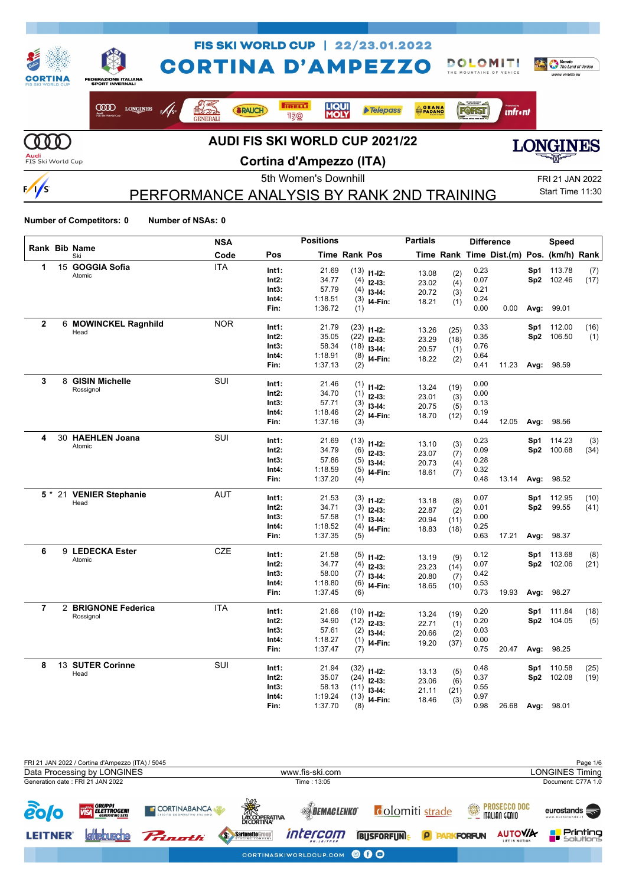

**Cortina d'Ampezzo (ITA)**

PERFORMANCE ANALYSIS BY RANK 2ND TRAINING

5th Women's Downhill FRI 21 JAN 2022 Start Time 11:30

**Number of Competitors: 0 Number of NSAs: 0**

 $\frac{1}{s}$ 

|              |                      | <b>NSA</b> |       | <b>Positions</b> |                      |                            | <b>Partials</b> |              |      | <b>Difference</b>                        |      | <b>Speed</b> |      |
|--------------|----------------------|------------|-------|------------------|----------------------|----------------------------|-----------------|--------------|------|------------------------------------------|------|--------------|------|
|              | Rank Bib Name<br>Ski | Code       | Pos   |                  | <b>Time Rank Pos</b> |                            |                 |              |      | Time Rank Time Dist.(m) Pos. (km/h) Rank |      |              |      |
| 1            | 15 GOGGIA Sofia      | <b>ITA</b> | Int1: | 21.69            |                      | $(13)$ 11-12:              | 13.08           | (2)          | 0.23 |                                          | Sp1  | 113.78       | (7)  |
|              | Atomic               |            | Int2: | 34.77            | (4)                  | $12 - 13:$                 | 23.02           | (4)          | 0.07 |                                          |      | Sp2 102.46   | (17) |
|              |                      |            | Int3: | 57.79            | (4)                  | $13 - 14:$                 | 20.72           | (3)          | 0.21 |                                          |      |              |      |
|              |                      |            | Int4: | 1:18.51          | (3)                  | I4-Fin:                    | 18.21           | (1)          | 0.24 |                                          |      |              |      |
|              |                      |            | Fin:  | 1:36.72          | (1)                  |                            |                 |              | 0.00 | 0.00                                     | Avg: | 99.01        |      |
| $\mathbf{2}$ | 6 MOWINCKEL Ragnhild | <b>NOR</b> | Int1: | 21.79            | (23)                 | $11 - 12$ :                |                 |              | 0.33 |                                          | Sp1  | 112.00       | (16) |
|              | Head                 |            | Int2: | 35.05            | (22)                 | $12 - 13$ :                | 13.26<br>23.29  | (25)<br>(18) | 0.35 |                                          |      | Sp2 106.50   | (1)  |
|              |                      |            | Int3: | 58.34            | (18)                 | $13 - 14$ :                | 20.57           | (1)          | 0.76 |                                          |      |              |      |
|              |                      |            | Int4: | 1:18.91          | (8)                  | I4-Fin:                    | 18.22           | (2)          | 0.64 |                                          |      |              |      |
|              |                      |            | Fin:  | 1:37.13          | (2)                  |                            |                 |              | 0.41 | 11.23                                    | Avg: | 98.59        |      |
| 3            | 8 GISIN Michelle     | <b>SUI</b> | Int1: | 21.46            | (1)                  | $11-12:$                   |                 |              | 0.00 |                                          |      |              |      |
|              | Rossignol            |            | Int2: | 34.70            | (1)                  | $12-13:$                   | 13.24           | (19)         | 0.00 |                                          |      |              |      |
|              |                      |            | Int3: | 57.71            | (3)                  | $13-14:$                   | 23.01<br>20.75  | (3)          | 0.13 |                                          |      |              |      |
|              |                      |            | Int4: | 1:18.46          | (2)                  | I4-Fin:                    | 18.70           | (5)<br>(12)  | 0.19 |                                          |      |              |      |
|              |                      |            | Fin:  | 1:37.16          | (3)                  |                            |                 |              | 0.44 | 12.05                                    | Avg: | 98.56        |      |
| 4            | 30 HAEHLEN Joana     | SUI        | Int1: | 21.69            |                      | $(13)$ 11-12:              |                 |              | 0.23 |                                          | Sp1  | 114.23       | (3)  |
|              | Atomic               |            | Int2: | 34.79            | (6)                  | $12 - 13:$                 | 13.10<br>23.07  | (3)          | 0.09 |                                          |      | Sp2 100.68   | (34) |
|              |                      |            | Int3: | 57.86            | (5)                  | $13 - 14:$                 | 20.73           | (7)          | 0.28 |                                          |      |              |      |
|              |                      |            | Int4: | 1:18.59          | (5)                  | I4-Fin:                    | 18.61           | (4)<br>(7)   | 0.32 |                                          |      |              |      |
|              |                      |            | Fin:  | 1:37.20          | (4)                  |                            |                 |              | 0.48 | 13.14                                    | Avg: | 98.52        |      |
| 5 *          | 21 VENIER Stephanie  | <b>AUT</b> | Int1: | 21.53            |                      |                            |                 |              | 0.07 |                                          | Sp1  | 112.95       | (10) |
|              | Head                 |            | Int2: | 34.71            | (3)                  | $(3)$ 11-12:<br>$12 - 13:$ | 13.18           | (8)          | 0.01 |                                          | Sp2  | 99.55        | (41) |
|              |                      |            | Int3: | 57.58            | (1)                  | $13 - 14:$                 | 22.87<br>20.94  | (2)          | 0.00 |                                          |      |              |      |
|              |                      |            | Int4: | 1:18.52          | (4)                  | I4-Fin:                    | 18.83           | (11)<br>(18) | 0.25 |                                          |      |              |      |
|              |                      |            | Fin:  | 1:37.35          | (5)                  |                            |                 |              | 0.63 | 17.21                                    | Avg: | 98.37        |      |
| 6            | 9 LEDECKA Ester      | CZE        | Int1: | 21.58            | (5)                  |                            |                 |              | 0.12 |                                          | Sp1  | 113.68       | (8)  |
|              | Atomic               |            | Int2: | 34.77            | (4)                  | $11 - 12$ :                | 13.19           | (9)          | 0.07 |                                          |      | Sp2 102.06   | (21) |
|              |                      |            | Int3: | 58.00            | (7)                  | $12 - 13:$<br>$13-14:$     | 23.23           | (14)         | 0.42 |                                          |      |              |      |
|              |                      |            | Int4: | 1:18.80          | (6)                  | I4-Fin:                    | 20.80<br>18.65  | (7)          | 0.53 |                                          |      |              |      |
|              |                      |            | Fin:  | 1:37.45          | (6)                  |                            |                 | (10)         | 0.73 | 19.93                                    | Avg: | 98.27        |      |
| 7            | 2 BRIGNONE Federica  | <b>ITA</b> | Int1: | 21.66            |                      | $(10)$ 11-12:              |                 |              | 0.20 |                                          | Sp1  | 111.84       | (18) |
|              | Rossignol            |            | Int2: | 34.90            |                      | $(12)$ 12-13:              | 13.24<br>22.71  | (19)         | 0.20 |                                          | Sp2  | 104.05       | (5)  |
|              |                      |            | Int3: | 57.61            | (2)                  | $13 - 14$ :                | 20.66           | (1)          | 0.03 |                                          |      |              |      |
|              |                      |            | Int4: | 1:18.27          | (1)                  | I4-Fin:                    | 19.20           | (2)<br>(37)  | 0.00 |                                          |      |              |      |
|              |                      |            | Fin:  | 1:37.47          | (7)                  |                            |                 |              | 0.75 | 20.47                                    | Avg: | 98.25        |      |
| 8            | 13 SUTER Corinne     | <b>SUI</b> | Int1: | 21.94            |                      | $(32)$ 11-12:              |                 |              | 0.48 |                                          | Sp1  | 110.58       | (25) |
|              | Head                 |            | Int2: | 35.07            |                      | $(24)$ 12-13:              | 13.13<br>23.06  | (5)<br>(6)   | 0.37 |                                          |      | Sp2 102.08   | (19) |
|              |                      |            | Int3: | 58.13            | (11)                 | $13-14:$                   | 21.11           | (21)         | 0.55 |                                          |      |              |      |
|              |                      |            | Int4: | 1:19.24          | (13)                 | I4-Fin:                    | 18.46           | (3)          | 0.97 |                                          |      |              |      |
|              |                      |            | Fin:  | 1:37.70          | (8)                  |                            |                 |              | 0.98 | 26.68                                    | Avg: | 98.01        |      |

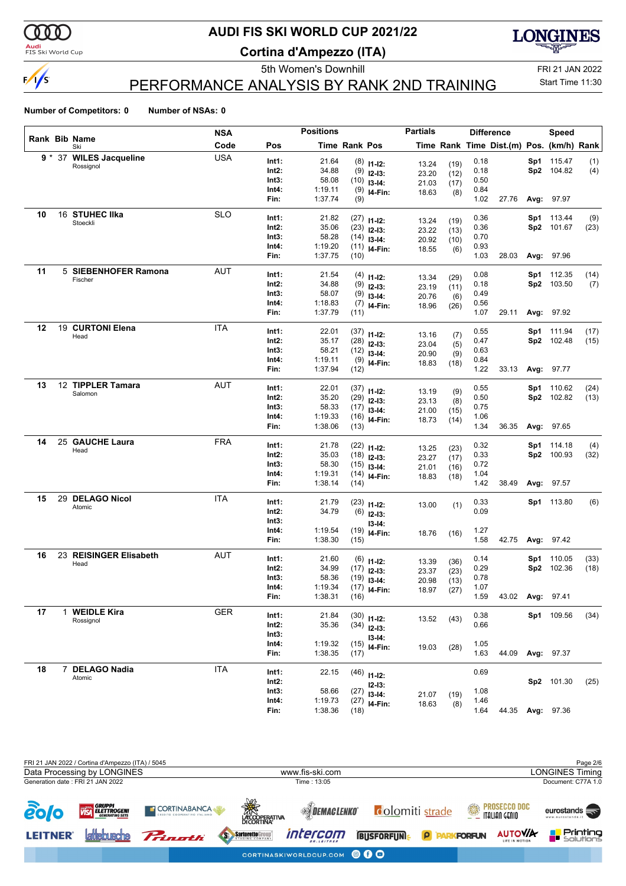

 $\frac{1}{s}$ 

**Audi**<br>FIS Ski World Cup

# **AUDI FIS SKI WORLD CUP 2021/22**

**Cortina d'Ampezzo (ITA)**



PERFORMANCE ANALYSIS BY RANK 2ND TRAINING

5th Women's Downhill FRI 21 JAN 2022 Start Time 11:30

|    |  |                             | <b>NSA</b> |                | <b>Positions</b> |                      |                           | <b>Partials</b> |             |              | <b>Difference</b>                        |       | <b>Speed</b>         |             |
|----|--|-----------------------------|------------|----------------|------------------|----------------------|---------------------------|-----------------|-------------|--------------|------------------------------------------|-------|----------------------|-------------|
|    |  | <b>Rank Bib Name</b><br>Ski | Code       | Pos            |                  | <b>Time Rank Pos</b> |                           |                 |             |              | Time Rank Time Dist.(m) Pos. (km/h) Rank |       |                      |             |
|    |  | 9 * 37 WILES Jacqueline     | <b>USA</b> | Int1:          | 21.64            |                      | $(8)$ 11-12:              |                 |             | 0.18         |                                          |       | Sp1 115.47           | (1)         |
|    |  | Rossignol                   |            | Int2:          | 34.88            |                      | $(9)$ 12-13:              | 13.24           | (19)        | 0.18         |                                          |       | Sp2 104.82           | (4)         |
|    |  |                             |            | Int3:          | 58.08            |                      | $(10)$ 13-14:             | 23.20<br>21.03  | (12)        | 0.50         |                                          |       |                      |             |
|    |  |                             |            | Int4:          | 1:19.11          |                      | $(9)$ 14-Fin:             | 18.63           | (17)<br>(8) | 0.84         |                                          |       |                      |             |
|    |  |                             |            | Fin:           | 1:37.74          | (9)                  |                           |                 |             | 1.02         | 27.76                                    |       | Avg: 97.97           |             |
| 10 |  | 16 STUHEC IIka              | <b>SLO</b> | Int1:          | 21.82            |                      | $(27)$ 11-12:             |                 |             | 0.36         |                                          | Sp1   | 113.44               | (9)         |
|    |  | Stoeckli                    |            | Int2:          | 35.06            |                      | $(23)$ 12-13:             | 13.24           | (19)        | 0.36         |                                          |       | Sp2 101.67           | (23)        |
|    |  |                             |            | Int3:          | 58.28            |                      | $(14)$ 13-14:             | 23.22           | (13)        | 0.70         |                                          |       |                      |             |
|    |  |                             |            | Int4:          | 1:19.20          |                      | $(11)$ <sub>14-Fin:</sub> | 20.92           | (10)        | 0.93         |                                          |       |                      |             |
|    |  |                             | Fin:       | 1:37.75        | (10)             |                      | 18.55                     | (6)             | 1.03        | 28.03        | Avg:                                     | 97.96 |                      |             |
| 11 |  | 5 SIEBENHOFER Ramona        | <b>AUT</b> | Int1:          | 21.54            |                      |                           |                 |             | 0.08         |                                          | Sp1   | 112.35               | (14)        |
|    |  | Fischer                     |            | Int2:          | 34.88            | (9)                  | $(4)$ 11-12:              | 13.34           | (29)        | 0.18         |                                          | Sp2   | 103.50               | (7)         |
|    |  |                             |            | Int3:          | 58.07            | (9)                  | $12-13:$                  | 23.19           | (11)        | 0.49         |                                          |       |                      |             |
|    |  |                             |            | Int4:          | 1:18.83          | (7)                  | $13-14:$                  | 20.76           | (6)         | 0.56         |                                          |       |                      |             |
|    |  |                             |            | Fin:           | 1:37.79          | (11)                 | I4-Fin:                   | 18.96           | (26)        | 1.07         | 29.11                                    | Avg:  | 97.92                |             |
| 12 |  | 19 CURTONI Elena            | <b>ITA</b> | Int1:          | 22.01            |                      |                           |                 |             | 0.55         |                                          |       | Sp1 111.94           | (17)        |
|    |  | Head                        |            | Int2:          | 35.17            |                      | $(37)$ 11-12:             | 13.16           | (7)         | 0.47         |                                          |       | Sp2 102.48           | (15)        |
|    |  |                             |            | Int3:          | 58.21            |                      | $(28)$ 12-13:             | 23.04           | (5)         | 0.63         |                                          |       |                      |             |
|    |  |                             |            | Int4:          | 1:19.11          |                      | $(12)$ 13-14:             | 20.90           | (9)         | 0.84         |                                          |       |                      |             |
|    |  |                             |            | Fin:           | 1:37.94          | (12)                 | $(9)$ 14-Fin:             | 18.83           | (18)        | 1.22         | 33.13                                    | Avg:  | 97.77                |             |
| 13 |  | 12 TIPPLER Tamara           | <b>AUT</b> | Int1:          | 22.01            |                      |                           |                 |             | 0.55         |                                          |       | Sp1 110.62           | (24)        |
|    |  | Salomon                     |            | Int2:          | 35.20            |                      | $(37)$ 11-12:             | 13.19           | (9)         | 0.50         |                                          |       | Sp2 102.82           | (13)        |
|    |  |                             |            | Int3:          | 58.33            |                      | $(29)$ 12-13:             | 23.13           | (8)         | 0.75         |                                          |       |                      |             |
|    |  |                             |            | Int4:          | 1:19.33          |                      | $(17)$ 13-14:             | 21.00           | (15)        | 1.06         |                                          |       |                      |             |
|    |  |                             |            | Fin:           | 1:38.06          | (13)                 | $(16)$ 14-Fin:            | 18.73           | (14)        | 1.34         | 36.35                                    | Avg:  | 97.65                |             |
| 14 |  | 25 GAUCHE Laura             | <b>FRA</b> |                |                  |                      |                           |                 |             |              |                                          |       |                      |             |
|    |  | Head                        |            | Int1:<br>Int2: | 21.78<br>35.03   |                      | $(22)$ 11-12:             | 13.25           | (23)        | 0.32<br>0.33 |                                          | Sp2   | Sp1 114.18<br>100.93 | (4)<br>(32) |
|    |  |                             |            | Int3:          | 58.30            |                      | $(18)$ 12-13:             | 23.27           | (17)        | 0.72         |                                          |       |                      |             |
|    |  |                             |            | Int4:          | 1:19.31          |                      | $(15)$ 13-14:             | 21.01           | (16)        | 1.04         |                                          |       |                      |             |
|    |  |                             |            | Fin:           | 1:38.14          | (14)                 | $(14)$ 14-Fin:            | 18.83           | (18)        | 1.42         | 38.49                                    | Avg:  | 97.57                |             |
| 15 |  | 29 DELAGO Nicol             | <b>ITA</b> |                |                  |                      |                           |                 |             |              |                                          |       |                      |             |
|    |  | Atomic                      |            | Int1:          | 21.79<br>34.79   |                      | $(23)$ 11-12:             | 13.00           | (1)         | 0.33         |                                          |       | Sp1 113.80           | (6)         |
|    |  |                             |            | Int2:<br>Int3: |                  |                      | $(6)$ 12-13:              |                 |             | 0.09         |                                          |       |                      |             |
|    |  |                             |            | Int4:          | 1:19.54          |                      | $13 - 14$ :               |                 |             | 1.27         |                                          |       |                      |             |
|    |  |                             |            | Fin:           | 1:38.30          | (15)                 | $(19)$ 14-Fin:            | 18.76           | (16)        | 1.58         | 42.75                                    |       | Avg: 97.42           |             |
| 16 |  | 23 REISINGER Elisabeth      | AUT        | Int4.          | 21.60            | (6)                  |                           |                 |             | 0.11         |                                          |       | $2n4$ $11005$        | (22)        |

| 16 | 23 | <b>REISINGER Elisabeth</b><br>Head | AUT        | Int1:<br>Int2:<br>Int3:<br>Int4:<br>Fin: | 21.60<br>34.99<br>58.36<br>1:19.34<br>1:38.31 | $(6)$ 11-12:<br>(17)<br>$12 - 13:$<br>(19)<br>$13-14:$<br>(17)<br>I4-Fin:<br>(16) | 13.39<br>23.37<br>20.98<br>18.97 | (36)<br>(23)<br>(13)<br>(27) | 0.14<br>0.29<br>0.78<br>1.07<br>1.59 | 43.02 | Sp1<br>Sp2<br>Avg: | 110.05<br>102.36<br>97.41 | (33)<br>(18) |
|----|----|------------------------------------|------------|------------------------------------------|-----------------------------------------------|-----------------------------------------------------------------------------------|----------------------------------|------------------------------|--------------------------------------|-------|--------------------|---------------------------|--------------|
| 17 |    | <b>WEIDLE Kira</b><br>Rossignol    | <b>GER</b> | Int1:<br>Int2:<br>Int3:                  | 21.84<br>35.36                                | $(30)$ 11-12:<br>(34)<br>$12 - 13:$                                               | 13.52                            | (43)                         | 0.38<br>0.66                         |       | Sp1                | 109.56                    | (34)         |
|    |    |                                    |            | Int4:<br>Fin:                            | 1:19.32<br>1:38.35                            | $13 - 14$ :<br>(15)<br>I4-Fin:<br>(17)                                            | 19.03                            | (28)                         | 1.05<br>1.63                         | 44.09 | Avg:               | 97.37                     |              |
| 18 |    | <b>DELAGO Nadia</b><br>Atomic      | <b>ITA</b> | Int1:<br>Int2:                           | 22.15                                         | $(46)$ 11-12:<br>$12-13:$                                                         |                                  |                              | 0.69                                 |       | Sp2                | 101.30                    | (25)         |
|    |    |                                    |            | Int3:<br>Int4:<br>Fin:                   | 58.66<br>1:19.73<br>1:38.36                   | (27)<br>$13-14:$<br>(27)<br>I4-Fin:<br>(18)                                       | 21.07<br>18.63                   | (19)<br>(8)                  | 1.08<br>1.46<br>1.64                 | 44.35 | Avg:               | 97.36                     |              |

| FRI 21 JAN 2022 / Cortina d'Ampezzo (ITA) / 5045                         |                         |                                                     | Page 2/6                                                                                                 |
|--------------------------------------------------------------------------|-------------------------|-----------------------------------------------------|----------------------------------------------------------------------------------------------------------|
| Data Processing by LONGINES                                              |                         | www.fis-ski.com                                     | <b>LONGINES Timing</b>                                                                                   |
| Generation date: FRI 21 JAN 2022                                         |                         | Time : 13:05                                        | Document: C77A 1.0                                                                                       |
| <b><u>eolo</u></b><br><b>VISA ELETTROGENI</b><br><b>VISA ELETTROGENI</b> | <b>THE CORTINABANCA</b> | <b>ARANA</b><br>LACOOPERATIVA<br><b>SOEMACLENKO</b> | <b>EXAMPROSECCO DOC</b><br>Antiquan Genio<br>colomiti strade<br>eurostands $\equiv$<br>www.eurostands.it |
| <b><i><u>lattebusche</u></i></b><br><b>LEITNER®</b>                      | Prinath                 | intercom<br>SartorettoGroup<br><b>S</b>             | <b>Printing</b><br><b>AUTOVIA</b><br><b>FORFUN</b><br><b>BUSFORFUNE</b><br>ρ                             |
|                                                                          |                         | CORTINASKIWORLDCUP.COM O O O                        |                                                                                                          |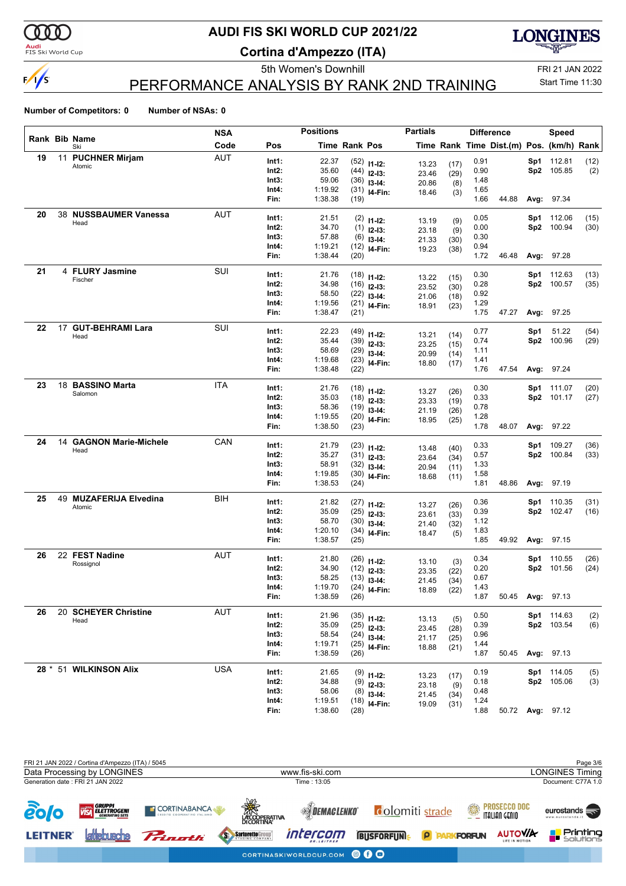

<mark>Audi</mark><br>FIS Ski World Cup

# **AUDI FIS SKI WORLD CUP 2021/22**

**Cortina d'Ampezzo (ITA)**



Start Time 11:30

5th Women's Downhill FRI 21 JAN 2022 PERFORMANCE ANALYSIS BY RANK 2ND TRAINING

|    |    |                                  | <b>NSA</b> |                | <b>Positions</b>   |               |                                | <b>Partials</b> |              |              | <b>Difference</b>                        |     | Speed             |      |
|----|----|----------------------------------|------------|----------------|--------------------|---------------|--------------------------------|-----------------|--------------|--------------|------------------------------------------|-----|-------------------|------|
|    |    | Rank Bib Name<br>Ski             | Code       | Pos            |                    | Time Rank Pos |                                |                 |              |              | Time Rank Time Dist.(m) Pos. (km/h) Rank |     |                   |      |
| 19 |    | 11 PUCHNER Mirjam                | AUT        | Int1:          | 22.37              |               | $(52)$ 11-12:                  | 13.23           | (17)         | 0.91         |                                          |     | Sp1 112.81        | (12) |
|    |    | Atomic                           |            | Int2:          | 35.60              |               | $(44)$ 12-13:                  | 23.46           | (29)         | 0.90         |                                          |     | Sp2 105.85        | (2)  |
|    |    |                                  |            | Int3:          | 59.06              |               | $(36)$ 13-14:                  | 20.86           | (8)          | 1.48         |                                          |     |                   |      |
|    |    |                                  |            | Int4:          | 1:19.92            |               | $(31)$ 14-Fin:                 | 18.46           | (3)          | 1.65         |                                          |     |                   |      |
|    |    |                                  |            | Fin:           | 1:38.38            | (19)          |                                |                 |              | 1.66         | 44.88                                    |     | Avg: 97.34        |      |
| 20 |    | 38 NUSSBAUMER Vanessa            | <b>AUT</b> | Int1:          | 21.51              |               | $(2)$ 11-12:                   | 13.19           |              | 0.05         |                                          |     | Sp1 112.06        | (15) |
|    |    | Head                             |            | Int2:          | 34.70              |               | $(1)$ 12-13:                   | 23.18           | (9)<br>(9)   | 0.00         |                                          |     | Sp2 100.94        | (30) |
|    |    |                                  |            | Int3:          | 57.88              |               | $(6)$ 13-14:                   | 21.33           | (30)         | 0.30         |                                          |     |                   |      |
|    |    |                                  |            | Int4:          | 1:19.21            |               | $(12)$ 14-Fin:                 | 19.23           | (38)         | 0.94         |                                          |     |                   |      |
|    |    |                                  |            | Fin:           | 1:38.44            | (20)          |                                |                 |              | 1.72         | 46.48                                    |     | Avg: 97.28        |      |
| 21 |    | 4 FLURY Jasmine                  | SUI        | Int1:          | 21.76              |               | $(18)$ 11-12:                  |                 |              | 0.30         |                                          |     | Sp1 112.63        | (13) |
|    |    | Fischer                          |            | Int2:          | 34.98              |               | $(16)$ 12-13:                  | 13.22<br>23.52  | (15)         | 0.28         |                                          |     | Sp2 100.57        | (35) |
|    |    |                                  |            | Int3:          | 58.50              |               | $(22)$ 13-14:                  | 21.06           | (30)<br>(18) | 0.92         |                                          |     |                   |      |
|    |    |                                  |            | Int4:          | 1:19.56            |               | $(21)$ 14-Fin:                 | 18.91           | (23)         | 1.29         |                                          |     |                   |      |
|    |    |                                  |            | Fin:           | 1:38.47            | (21)          |                                |                 |              | 1.75         | 47.27                                    |     | Avg: 97.25        |      |
| 22 |    | 17 GUT-BEHRAMI Lara              | SUI        | Int1:          | 22.23              |               |                                |                 |              | 0.77         |                                          | Sp1 | 51.22             | (54) |
|    |    | Head                             |            | Int2:          | 35.44              |               | $(49)$ 11-12:<br>$(39)$ 12-13: | 13.21           | (14)         | 0.74         |                                          |     | Sp2 100.96        | (29) |
|    |    |                                  |            | Int3:          | 58.69              |               | $(29)$ 13-14:                  | 23.25           | (15)         | 1.11         |                                          |     |                   |      |
|    |    |                                  |            | Int4:          | 1:19.68            |               | $(23)$ 14-Fin:                 | 20.99           | (14)         | 1.41         |                                          |     |                   |      |
|    |    |                                  |            | Fin:           | 1:38.48            | (22)          |                                | 18.80           | (17)         | 1.76         | 47.54                                    |     | Avg: 97.24        |      |
| 23 |    | 18 BASSINO Marta                 | ITA        |                |                    |               |                                |                 |              |              |                                          |     |                   |      |
|    |    | Salomon                          |            | Int1:          | 21.76              |               | $(18)$ 11-12:                  | 13.27           | (26)         | 0.30         |                                          |     | <b>Sp1</b> 111.07 | (20) |
|    |    |                                  |            | Int2:<br>Int3: | 35.03<br>58.36     |               | $(18)$ 12-13:                  | 23.33           | (19)         | 0.33         |                                          |     | Sp2 101.17        | (27) |
|    |    |                                  |            | Int4:          | 1:19.55            |               | $(19)$ 13-14:                  | 21.19           | (26)         | 0.78<br>1.28 |                                          |     |                   |      |
|    |    |                                  |            | Fin:           | 1:38.50            | (23)          | $(20)$ 14-Fin:                 | 18.95           | (25)         | 1.78         | 48.07                                    |     | Avg: 97.22        |      |
| 24 | 14 | <b>GAGNON Marie-Michele</b>      | CAN        |                |                    |               |                                |                 |              |              |                                          |     |                   |      |
|    |    | Head                             |            | Int1:          | 21.79              |               | $(23)$ 11-12:                  | 13.48           | (40)         | 0.33         |                                          |     | Sp1 109.27        | (36) |
|    |    |                                  |            | Int2:          | 35.27              |               | $(31)$ 12-13:                  | 23.64           | (34)         | 0.57         |                                          |     | Sp2 100.84        | (33) |
|    |    |                                  |            | Int3:          | 58.91              |               | $(32)$ 13-14:                  | 20.94           | (11)         | 1.33         |                                          |     |                   |      |
|    |    |                                  |            | Int4:<br>Fin:  | 1:19.85<br>1:38.53 | (24)          | $(30)$ 14-Fin:                 | 18.68           | (11)         | 1.58<br>1.81 | 48.86                                    |     | Avg: 97.19        |      |
|    |    |                                  |            |                |                    |               |                                |                 |              |              |                                          |     |                   |      |
| 25 |    | 49 MUZAFERIJA Elvedina<br>Atomic | <b>BIH</b> | Int1:          | 21.82              |               | $(27)$ 11-12:                  | 13.27           | (26)         | 0.36         |                                          |     | Sp1 110.35        | (31) |
|    |    |                                  |            | Int2:          | 35.09              |               | $(25)$ 12-13:                  | 23.61           | (33)         | 0.39         |                                          |     | Sp2 102.47        | (16) |
|    |    |                                  |            | Int3:          | 58.70              |               | $(30)$ 13-14:                  | 21.40           | (32)         | 1.12         |                                          |     |                   |      |
|    |    |                                  |            | Int4:          | 1:20.10            |               | $(34)$ 14-Fin:                 | 18.47           | (5)          | 1.83         |                                          |     |                   |      |
|    |    |                                  |            | Fin:           | 1:38.57            | (25)          |                                |                 |              | 1.85         | 49.92                                    |     | <b>Avg: 97.15</b> |      |
| 26 |    | 22 FEST Nadine                   | AUT        | Int1:          | 21.80              |               | $(26)$ 11-12:                  | 13.10           | (3)          | 0.34         |                                          |     | Sp1 110.55        | (26) |
|    |    | Rossignol                        |            | Int2:          | 34.90              |               | $(12)$ 12-13:                  | 23.35           | (22)         | 0.20         |                                          |     | Sp2 101.56        | (24) |
|    |    |                                  |            | Int3:          | 58.25              |               | $(13)$ 13-14:                  | 21.45           | (34)         | 0.67         |                                          |     |                   |      |
|    |    |                                  |            | Int4:          | 1:19.70            |               | $(24)$ 14-Fin:                 | 18.89           | (22)         | 1.43         |                                          |     |                   |      |
|    |    |                                  |            | Fin:           | 1:38.59            | (26)          |                                |                 |              | 1.87         | 50.45                                    |     | Avg: 97.13        |      |
| 26 |    | 20 SCHEYER Christine             | <b>AUT</b> | Int1:          | 21.96              |               | $(35)$ 11-12:                  |                 |              | 0.50         |                                          |     | Sp1 114.63        | (2)  |
|    |    | Head                             |            | $Int2$ :       | 35.09              |               | $(25)$ 12-13:                  | 13.13           | (5)          | 0.39         |                                          |     | Sp2 103.54        | (6)  |
|    |    |                                  |            | Int3:          | 58.54              |               | $(24)$ 13-14:                  | 23.45           | (28)         | 0.96         |                                          |     |                   |      |
|    |    |                                  |            | Int4:          | 1:19.71            |               | $(25)$ 14-Fin:                 | 21.17<br>18.88  | (25)<br>(21) | 1.44         |                                          |     |                   |      |
|    |    |                                  |            | Fin:           | 1:38.59            | (26)          |                                |                 |              | 1.87         | 50.45                                    |     | Avg: 97.13        |      |
|    |    | 28 * 51 WILKINSON Alix           | <b>USA</b> | Int1:          | 21.65              |               |                                |                 |              | 0.19         |                                          |     | Sp1 114.05        | (5)  |
|    |    |                                  |            | Int2:          | 34.88              |               | $(9)$ 11-12:<br>$(9)$ 12-13:   | 13.23           | (17)         | 0.18         |                                          |     | Sp2 105.06        | (3)  |
|    |    |                                  |            | Int3:          | 58.06              |               | $(8)$ 13-14:                   | 23.18           | (9)          | 0.48         |                                          |     |                   |      |
|    |    |                                  |            | Int4:          | 1:19.51            |               | $(18)$ 14-Fin:                 | 21.45           | (34)         | 1.24         |                                          |     |                   |      |
|    |    |                                  |            | Fin:           | 1:38.60            | (28)          |                                | 19.09           | (31)         | 1.88         | 50.72                                    |     | <b>Avg: 97.12</b> |      |
|    |    |                                  |            |                |                    |               |                                |                 |              |              |                                          |     |                   |      |

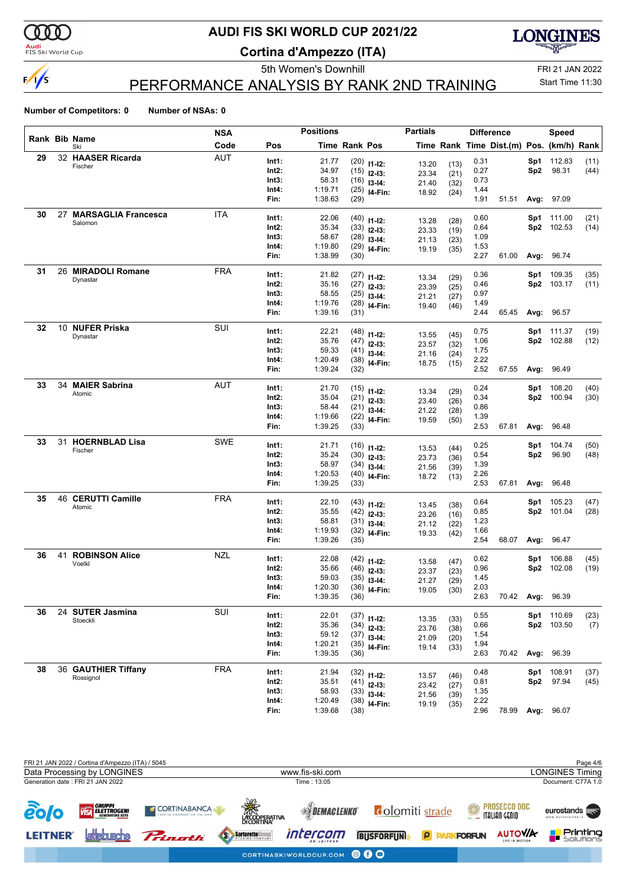

<mark>Audi</mark><br>FIS Ski World Cup

# **AUDI FIS SKI WORLD CUP 2021/22**

**Cortina d'Ampezzo (ITA)**



PERFORMANCE ANALYSIS BY RANK 2ND TRAINING

5th Women's Downhill FRI 21 JAN 2022 Start Time 11:30

|    |                              | <b>NSA</b> |                | <b>Positions</b>   |               |                | <b>Partials</b> |              |              | <b>Difference</b>                        |      | <b>Speed</b>             |             |
|----|------------------------------|------------|----------------|--------------------|---------------|----------------|-----------------|--------------|--------------|------------------------------------------|------|--------------------------|-------------|
|    | Rank Bib Name<br>Ski         | Code       | Pos            |                    | Time Rank Pos |                |                 |              |              | Time Rank Time Dist.(m) Pos. (km/h) Rank |      |                          |             |
| 29 | 32 HAASER Ricarda            | <b>AUT</b> | Int1:          | 21.77              |               | $(20)$ 11-12:  |                 | (13)         | 0.31         |                                          | Sp1  | 112.83                   | (11)        |
|    | Fischer                      |            | Int2:          | 34.97              |               | $(15)$ 12-13:  | 13.20<br>23.34  | (21)         | 0.27         |                                          | Sp2  | 98.31                    | (44)        |
|    |                              |            | Int3:          | 58.31              |               | $(16)$ 13-14:  | 21.40           | (32)         | 0.73         |                                          |      |                          |             |
|    |                              |            | Int4:          | 1:19.71            |               | $(25)$ 14-Fin: | 18.92           | (24)         | 1.44         |                                          |      |                          |             |
|    |                              |            | Fin:           | 1:38.63            | (29)          |                |                 |              | 1.91         | 51.51                                    |      | Avg: 97.09               |             |
| 30 | 27 MARSAGLIA Francesca       | ITA        | Int1:          | 22.06              |               | $(40)$ 11-12:  |                 |              | 0.60         |                                          | Sp1  | 111.00                   | (21)        |
|    | Salomon                      |            | Int2:          | 35.34              |               | $(33)$ 12-13:  | 13.28           | (28)         | 0.64         |                                          |      | Sp2 102.53               | (14)        |
|    |                              |            | Int3:          | 58.67              |               | $(28)$ 13-14:  | 23.33<br>21.13  | (19)<br>(23) | 1.09         |                                          |      |                          |             |
|    |                              |            | Int4:          | 1:19.80            |               | $(29)$ 14-Fin: | 19.19           | (35)         | 1.53         |                                          |      |                          |             |
|    |                              |            | Fin:           | 1:38.99            | (30)          |                |                 |              | 2.27         | 61.00                                    |      | Avg: 96.74               |             |
| 31 | 26 MIRADOLI Romane           | <b>FRA</b> | Int1:          | 21.82              |               | $(27)$ 11-12:  |                 |              | 0.36         |                                          | Sp1  | 109.35                   | (35)        |
|    | Dynastar                     |            | Int2:          | 35.16              |               | $(27)$ 12-13:  | 13.34           | (29)         | 0.46         |                                          |      | Sp2 103.17               | (11)        |
|    |                              |            | Int3:          | 58.55              |               | $(25)$ 13-14:  | 23.39           | (25)         | 0.97         |                                          |      |                          |             |
|    |                              |            | Int4:          | 1:19.76            |               | $(28)$ 14-Fin: | 21.21<br>19.40  | (27)         | 1.49         |                                          |      |                          |             |
|    |                              |            | Fin:           | 1:39.16            | (31)          |                |                 | (46)         | 2.44         | 65.45                                    |      | Avg: 96.57               |             |
| 32 | 10 NUFER Priska              | SUI        |                |                    |               |                |                 |              |              |                                          |      |                          |             |
|    | Dynastar                     |            | Int1:<br>Int2: | 22.21<br>35.76     |               | $(48)$ 11-12:  | 13.55           | (45)         | 0.75         |                                          | Sp1  | 111.37<br>Sp2 102.88     | (19)        |
|    |                              |            | Int3:          | 59.33              |               | $(47)$ 12-13:  | 23.57           | (32)         | 1.06<br>1.75 |                                          |      |                          | (12)        |
|    |                              |            | Int4:          | 1:20.49            |               | $(41)$ 13-14:  | 21.16           | (24)         | 2.22         |                                          |      |                          |             |
|    |                              |            | Fin:           | 1:39.24            | (32)          | $(38)$ 14-Fin: | 18.75           | (15)         | 2.52         | 67.55                                    | Avg: | 96.49                    |             |
| 33 | 34 MAIER Sabrina             | AUT        |                |                    |               |                |                 |              |              |                                          |      |                          |             |
|    | Atomic                       |            | Int1:          | 21.70              |               | $(15)$ 11-12:  | 13.34           | (29)         | 0.24         |                                          | Sp1  | 108.20                   | (40)        |
|    |                              |            | Int2:          | 35.04              |               | $(21)$ 12-13:  | 23.40           | (26)         | 0.34         |                                          |      | Sp2 100.94               | (30)        |
|    |                              |            | Int3:          | 58.44              |               | $(21)$ 13-14:  | 21.22           | (28)         | 0.86         |                                          |      |                          |             |
|    |                              |            | Int4:<br>Fin:  | 1:19.66<br>1:39.25 | (33)          | $(22)$ 14-Fin: | 19.59           | (50)         | 1.39<br>2.53 | 67.81                                    | Avg: | 96.48                    |             |
|    |                              |            |                |                    |               |                |                 |              |              |                                          |      |                          |             |
| 33 | 31 HOERNBLAD Lisa<br>Fischer | <b>SWE</b> | Int1:          | 21.71              |               | $(16)$ 11-12:  | 13.53           | (44)         | 0.25         |                                          | Sp1  | 104.74                   | (50)        |
|    |                              |            | Int2:          | 35.24              |               | $(30)$ 12-13:  | 23.73           | (36)         | 0.54         |                                          | Sp2  | 96.90                    | (48)        |
|    |                              |            | Int3:          | 58.97              |               | $(34)$ 13-14:  | 21.56           | (39)         | 1.39         |                                          |      |                          |             |
|    |                              |            | Int4:          | 1:20.53            |               | $(40)$ 14-Fin: | 18.72           | (13)         | 2.26         |                                          |      |                          |             |
|    |                              |            | Fin:           | 1:39.25            | (33)          |                |                 |              | 2.53         | 67.81                                    | Avg: | 96.48                    |             |
| 35 | 46 CERUTTI Camille           | <b>FRA</b> | Int1:          | 22.10              |               | $(43)$ 11-12:  | 13.45           | (38)         | 0.64         |                                          | Sp1  | 105.23                   | (47)        |
|    | Atomic                       |            | Int2:          | 35.55              |               | $(42)$ 12-13:  | 23.26           | (16)         | 0.85         |                                          |      | Sp2 101.04               | (28)        |
|    |                              |            | Int3:          | 58.81              |               | $(31)$ 13-14:  | 21.12           | (22)         | 1.23         |                                          |      |                          |             |
|    |                              |            | Int4:          | 1:19.93            |               | $(32)$ 14-Fin: | 19.33           | (42)         | 1.66         |                                          |      |                          |             |
|    |                              |            | Fin:           | 1:39.26            | (35)          |                |                 |              | 2.54         | 68.07                                    | Avg: | 96.47                    |             |
| 36 | <b>41 ROBINSON Alice</b>     | <b>NZL</b> | Int1:          | 22.08              |               | $(42)$ 11-12:  |                 |              | 0.62         |                                          | Sp1  | 106.88                   | (45)        |
|    | Voelkl                       |            | Int2:          | 35.66              |               | $(46)$ 12-13:  | 13.58           | (47)         | 0.96         |                                          |      | Sp2 102.08               | (19)        |
|    |                              |            | Int3:          | 59.03              |               | $(35)$ 13-14:  | 23.37<br>21.27  | (23)<br>(29) | 1.45         |                                          |      |                          |             |
|    |                              |            | Int4:          | 1:20.30            |               | $(36)$ 14-Fin: | 19.05           | (30)         | 2.03         |                                          |      |                          |             |
|    |                              |            | Fin:           | 1:39.35            | (36)          |                |                 |              | 2.63         |                                          |      | 70.42 Avg: 96.39         |             |
| 36 | 24 SUTER Jasmina             | SUI        |                |                    |               |                |                 |              |              |                                          |      |                          |             |
|    | Stoeckli                     |            | Int1:<br>Int2: | 22.01<br>35.36     |               | $(37)$ 11-12:  | 13.35           | (33)         | 0.55<br>0.66 |                                          |      | Sp1 110.69<br>Sp2 103.50 | (23)<br>(7) |
|    |                              |            | Int3:          | 59.12              |               | $(34)$ 12-13:  | 23.76           | (38)         | 1.54         |                                          |      |                          |             |
|    |                              |            | Int4:          | 1:20.21            |               | $(37)$ 13-14:  | 21.09           | (20)         | 1.94         |                                          |      |                          |             |
|    |                              |            | Fin:           | 1:39.35            | (36)          | $(35)$ 14-Fin: | 19.14           | (33)         | 2.63         | 70.42                                    | Avg: | 96.39                    |             |
| 38 | 36 GAUTHIER Tiffany          | <b>FRA</b> |                |                    |               |                |                 |              |              |                                          |      |                          |             |
|    | Rossignol                    |            | Int1:          | 21.94              |               | $(32)$ 11-12:  | 13.57           | (46)         | 0.48         |                                          | Sp1  | 108.91                   | (37)        |
|    |                              |            | Int2:          | 35.51              |               | $(41)$ 12-13:  | 23.42           | (27)         | 0.81         |                                          |      | Sp2 97.94                | (45)        |
|    |                              |            | Int3:          | 58.93              |               | $(33)$ 13-14:  | 21.56           | (39)         | 1.35         |                                          |      |                          |             |
|    |                              |            | Int4:<br>Fin:  | 1:20.49<br>1:39.68 |               | $(38)$ 14-Fin: | 19.19           | (35)         | 2.22<br>2.96 | 78.99                                    |      |                          |             |
|    |                              |            |                |                    | (38)          |                |                 |              |              |                                          |      | Avg: 96.07               |             |

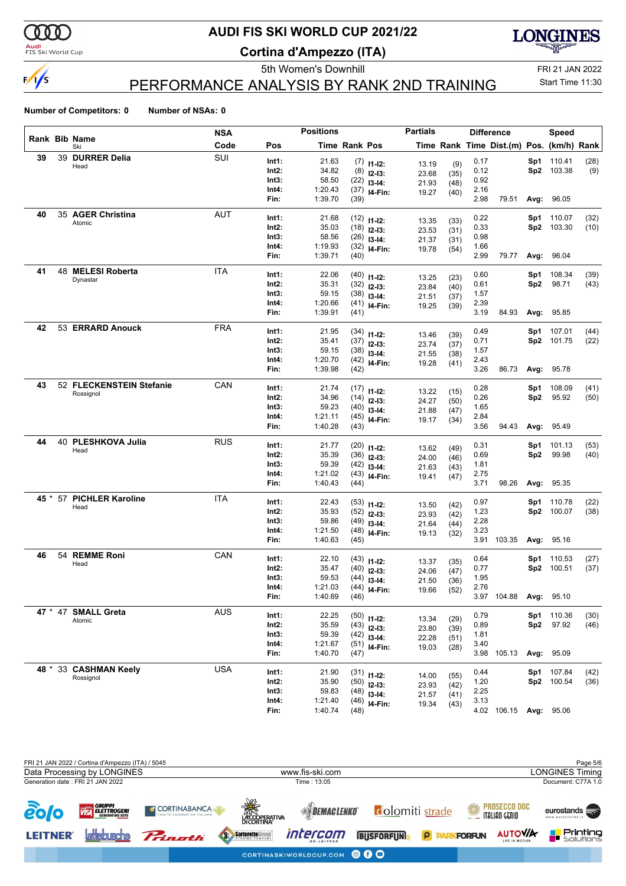

<mark>Audi</mark><br>FIS Ski World Cup

# **AUDI FIS SKI WORLD CUP 2021/22**

**Cortina d'Ampezzo (ITA)**



PERFORMANCE ANALYSIS BY RANK 2ND TRAINING

5th Women's Downhill FRI 21 JAN 2022 Start Time 11:30

|      |         |                          | <b>NSA</b> |                | <b>Positions</b> |                      |                                 | <b>Partials</b> |              |              | <b>Difference</b>                        |                 | Speed                   |              |
|------|---------|--------------------------|------------|----------------|------------------|----------------------|---------------------------------|-----------------|--------------|--------------|------------------------------------------|-----------------|-------------------------|--------------|
|      |         | Rank Bib Name<br>Ski     | Code       | Pos            |                  | <b>Time Rank Pos</b> |                                 |                 |              |              | Time Rank Time Dist.(m) Pos. (km/h) Rank |                 |                         |              |
| 39   | 39      | <b>DURRER Delia</b>      | SUI        | Int1:          | 21.63            |                      | $(7)$ 11-12:                    |                 |              | 0.17         |                                          | Sp1             | 110.41                  | (28)         |
|      |         | Head                     |            | Int2:          | 34.82            |                      | $(8)$ 12-13:                    | 13.19<br>23.68  | (9)<br>(35)  | 0.12         |                                          | Sp2             | 103.38                  | (9)          |
|      |         |                          |            | Int3:          | 58.50            |                      | $(22)$ 13-14:                   | 21.93           | (48)         | 0.92         |                                          |                 |                         |              |
|      |         |                          |            | Int4:          | 1:20.43          |                      | $(37)$ 14-Fin:                  | 19.27           | (40)         | 2.16         |                                          |                 |                         |              |
|      |         |                          |            | Fin:           | 1:39.70          | (39)                 |                                 |                 |              | 2.98         | 79.51                                    |                 | <b>Avg: 96.05</b>       |              |
| 40   |         | 35 AGER Christina        | AUT        | Int1:          | 21.68            |                      | $(12)$ 11-12:                   |                 |              | 0.22         |                                          | Sp1             | 110.07                  | (32)         |
|      |         | Atomic                   |            | Int2:          | 35.03            |                      | $(18)$ 12-13:                   | 13.35           | (33)         | 0.33         |                                          | Sp2             | 103.30                  | (10)         |
|      |         |                          |            | Int3:          | 58.56            |                      | $(26)$ 13-14:                   | 23.53<br>21.37  | (31)         | 0.98         |                                          |                 |                         |              |
|      |         |                          |            | Int4:          | 1:19.93          |                      | $(32)$ 14-Fin:                  | 19.78           | (31)<br>(54) | 1.66         |                                          |                 |                         |              |
|      |         |                          |            | Fin:           | 1:39.71          | (40)                 |                                 |                 |              | 2.99         | 79.77                                    |                 | Avg: 96.04              |              |
| 41   | 48      | <b>MELESI Roberta</b>    | <b>ITA</b> | Int1:          | 22.06            |                      | $(40)$ 11-12:                   |                 |              | 0.60         |                                          | Sp1             | 108.34                  | (39)         |
|      |         | Dynastar                 |            | Int2:          | 35.31            |                      | $(32)$ 12-13:                   | 13.25           | (23)         | 0.61         |                                          | Sp <sub>2</sub> | 98.71                   | (43)         |
|      |         |                          |            | Int3:          | 59.15            |                      | $(38)$ 13-14:                   | 23.84           | (40)         | 1.57         |                                          |                 |                         |              |
|      |         |                          |            | Int4:          | 1:20.66          |                      | $(41)$ 14-Fin:                  | 21.51<br>19.25  | (37)         | 2.39         |                                          |                 |                         |              |
|      |         |                          |            | Fin:           | 1:39.91          | (41)                 |                                 |                 | (39)         | 3.19         | 84.93                                    |                 | Avg: 95.85              |              |
| 42   |         | 53 ERRARD Anouck         | <b>FRA</b> | Int1:          | 21.95            |                      |                                 |                 |              | 0.49         |                                          | Sp1             | 107.01                  | (44)         |
|      |         |                          |            | Int2:          | 35.41            |                      | $(34)$ 11-12:<br>$(37)$ 12-13:  | 13.46           | (39)         | 0.71         |                                          | Sp2             | 101.75                  | (22)         |
|      |         |                          |            | Int3:          | 59.15            |                      | $(38)$ 13-14:                   | 23.74           | (37)         | 1.57         |                                          |                 |                         |              |
|      |         |                          |            | Int4:          | 1:20.70          |                      | $(42)$ 14-Fin:                  | 21.55           | (38)         | 2.43         |                                          |                 |                         |              |
|      |         |                          |            | Fin:           | 1:39.98          | (42)                 |                                 | 19.28           | (41)         | 3.26         | 86.73                                    |                 | Avg: 95.78              |              |
| 43   |         | 52 FLECKENSTEIN Stefanie | CAN        | Int1:          | 21.74            |                      |                                 |                 |              | 0.28         |                                          | Sp1             | 108.09                  | (41)         |
|      |         | Rossignol                |            | Int2:          | 34.96            |                      | $(17)$ 11-12:<br>$(14)$ 12-13:  | 13.22           | (15)         | 0.26         |                                          | Sp2             | 95.92                   | (50)         |
|      |         |                          |            | Int3:          | 59.23            |                      | $(40)$ 13-14:                   | 24.27           | (50)         | 1.65         |                                          |                 |                         |              |
|      |         |                          |            | Int4:          | 1:21.11          |                      | $(45)$ 14-Fin:                  | 21.88           | (47)         | 2.84         |                                          |                 |                         |              |
|      |         |                          |            | Fin:           | 1:40.28          | (43)                 |                                 | 19.17           | (34)         | 3.56         | 94.43                                    |                 | Avg: 95.49              |              |
| 44   | 40      | <b>PLESHKOVA Julia</b>   | <b>RUS</b> | Int1:          | 21.77            |                      |                                 |                 |              | 0.31         |                                          | Sp1             | 101.13                  | (53)         |
|      |         | Head                     |            | Int2:          | 35.39            |                      | $(20)$ 11-12:                   | 13.62           | (49)         | 0.69         |                                          | Sp2             | 99.98                   | (40)         |
|      |         |                          |            | Int3:          | 59.39            |                      | $(36)$ 12-13:                   | 24.00           | (46)         | 1.81         |                                          |                 |                         |              |
|      |         |                          |            | Int4:          | 1:21.02          |                      | $(42)$ 13-14:<br>$(43)$ 14-Fin: | 21.63           | (43)         | 2.75         |                                          |                 |                         |              |
|      |         |                          |            | Fin:           | 1:40.43          | (44)                 |                                 | 19.41           | (47)         | 3.71         | 98.26                                    |                 | Avg: 95.35              |              |
|      | 45 * 57 | <b>PICHLER Karoline</b>  | <b>ITA</b> | Int1:          | 22.43            |                      |                                 |                 |              | 0.97         |                                          | Sp1             | 110.78                  | (22)         |
|      |         | Head                     |            | Int2:          | 35.93            |                      | $(53)$ 11-12:                   | 13.50           | (42)         | 1.23         |                                          |                 | Sp2 100.07              | (38)         |
|      |         |                          |            | Int3:          | 59.86            |                      | $(52)$ 12-13:<br>$(49)$ 13-14:  | 23.93           | (42)         | 2.28         |                                          |                 |                         |              |
|      |         |                          |            | Int4:          | 1:21.50          |                      | $(48)$ 14-Fin:                  | 21.64           | (44)         | 3.23         |                                          |                 |                         |              |
|      |         |                          |            | Fin:           | 1:40.63          | (45)                 |                                 | 19.13           | (32)         |              | 3.91 103.35                              |                 | <b>Avg: 95.16</b>       |              |
| 46   |         | 54 REMME Roni            | CAN        | Int1:          | 22.10            |                      |                                 |                 |              | 0.64         |                                          | Sp1             | 110.53                  | (27)         |
|      |         | Head                     |            | Int2:          | 35.47            |                      | $(43)$ 11-12:                   | 13.37           | (35)         | 0.77         |                                          |                 | Sp2 100.51              | (37)         |
|      |         |                          |            | Int3:          | 59.53            |                      | $(40)$ 12-13:<br>$(44)$ 13-14:  | 24.06           | (47)         | 1.95         |                                          |                 |                         |              |
|      |         |                          |            | Int4:          | 1:21.03          |                      | $(44)$ <sub>14-Fin:</sub>       | 21.50           | (36)         | 2.76         |                                          |                 |                         |              |
|      |         |                          |            | Fin:           | 1:40.69          | (46)                 |                                 | 19.66           | (52)         |              | 3.97 104.88                              |                 | <b>Avg: 95.10</b>       |              |
| 47 * |         | 47 SMALL Greta           | <b>AUS</b> | Int1:          | 22.25            |                      |                                 |                 |              |              |                                          |                 |                         |              |
|      |         | Atomic                   |            | Int2:          | 35.59            |                      | $(50)$ 11-12:                   | 13.34           | (29)         | 0.79<br>0.89 |                                          |                 | Sp1 110.36<br>Sp2 97.92 | (30)<br>(46) |
|      |         |                          |            | Int3:          | 59.39            |                      | $(43)$ 12-13:<br>$(42)$ 13-14:  | 23.80           | (39)         | 1.81         |                                          |                 |                         |              |
|      |         |                          |            | Int4:          | 1:21.67          |                      | $(51)$ 14-Fin:                  | 22.28           | (51)         | 3.40         |                                          |                 |                         |              |
|      |         |                          |            | Fin:           | 1:40.70          | (47)                 |                                 | 19.03           | (28)         |              | 3.98 105.13                              |                 | Avg: 95.09              |              |
| 48 * |         | 33 CASHMAN Keely         | <b>USA</b> |                |                  |                      |                                 |                 |              |              |                                          |                 |                         |              |
|      |         | Rossignol                |            | Int1:<br>Int2: | 21.90<br>35.90   |                      | $(31)$ 11-12:                   | 14.00           | (55)         | 0.44<br>1.20 |                                          | Sp1             | 107.84<br>Sp2 100.54    | (42)         |
|      |         |                          |            | Int3:          | 59.83            |                      | $(50)$ 12-13:                   | 23.93           | (42)         | 2.25         |                                          |                 |                         | (36)         |
|      |         |                          |            | Int4:          | 1:21.40          |                      | $(48)$ 13-14:                   | 21.57           | (41)         | 3.13         |                                          |                 |                         |              |
|      |         |                          |            | Fin:           | 1:40.74          | (48)                 | $(46)$ 14-Fin:                  | 19.34           | (43)         |              | 4.02 106.15                              |                 | Avg: 95.06              |              |
|      |         |                          |            |                |                  |                      |                                 |                 |              |              |                                          |                 |                         |              |